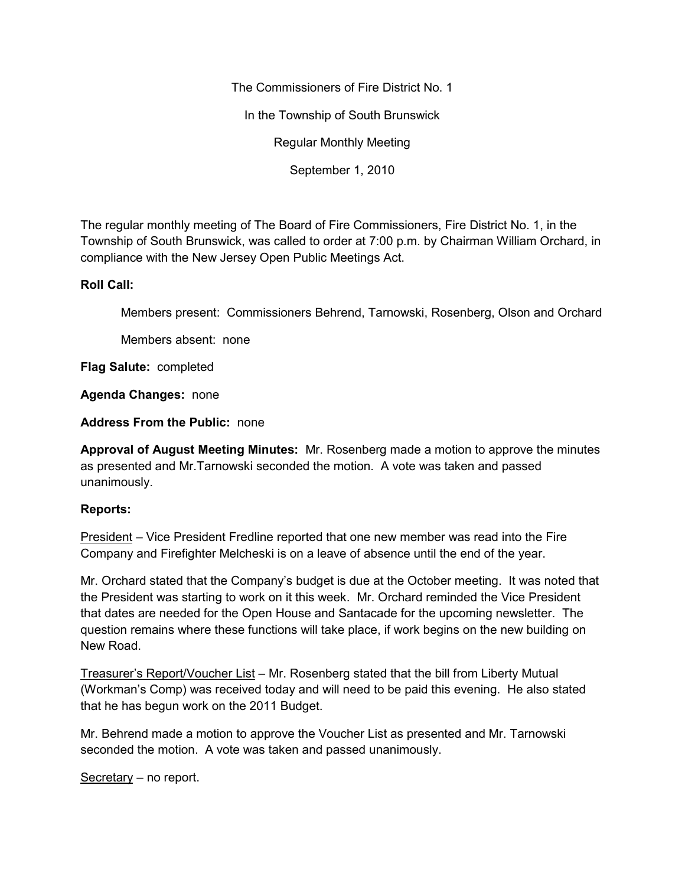The Commissioners of Fire District No. 1

In the Township of South Brunswick

Regular Monthly Meeting

September 1, 2010

The regular monthly meeting of The Board of Fire Commissioners, Fire District No. 1, in the Township of South Brunswick, was called to order at 7:00 p.m. by Chairman William Orchard, in compliance with the New Jersey Open Public Meetings Act.

## **Roll Call:**

Members present: Commissioners Behrend, Tarnowski, Rosenberg, Olson and Orchard

Members absent: none

**Flag Salute:** completed

**Agenda Changes:** none

**Address From the Public:** none

**Approval of August Meeting Minutes:** Mr. Rosenberg made a motion to approve the minutes as presented and Mr.Tarnowski seconded the motion. A vote was taken and passed unanimously.

# **Reports:**

President – Vice President Fredline reported that one new member was read into the Fire Company and Firefighter Melcheski is on a leave of absence until the end of the year.

Mr. Orchard stated that the Company's budget is due at the October meeting. It was noted that the President was starting to work on it this week. Mr. Orchard reminded the Vice President that dates are needed for the Open House and Santacade for the upcoming newsletter. The question remains where these functions will take place, if work begins on the new building on New Road.

Treasurer's Report/Voucher List – Mr. Rosenberg stated that the bill from Liberty Mutual (Workman's Comp) was received today and will need to be paid this evening. He also stated that he has begun work on the 2011 Budget.

Mr. Behrend made a motion to approve the Voucher List as presented and Mr. Tarnowski seconded the motion. A vote was taken and passed unanimously.

Secretary – no report.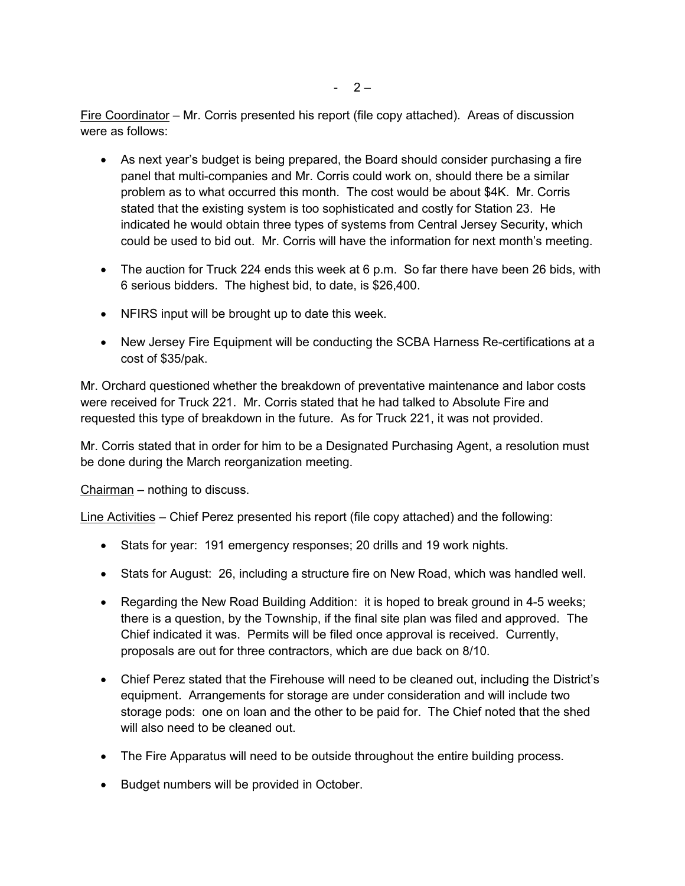Fire Coordinator – Mr. Corris presented his report (file copy attached). Areas of discussion were as follows:

- As next year's budget is being prepared, the Board should consider purchasing a fire panel that multi-companies and Mr. Corris could work on, should there be a similar problem as to what occurred this month. The cost would be about \$4K. Mr. Corris stated that the existing system is too sophisticated and costly for Station 23. He indicated he would obtain three types of systems from Central Jersey Security, which could be used to bid out. Mr. Corris will have the information for next month's meeting.
- The auction for Truck 224 ends this week at 6 p.m. So far there have been 26 bids, with 6 serious bidders. The highest bid, to date, is \$26,400.
- NFIRS input will be brought up to date this week.
- New Jersey Fire Equipment will be conducting the SCBA Harness Re-certifications at a cost of \$35/pak.

Mr. Orchard questioned whether the breakdown of preventative maintenance and labor costs were received for Truck 221. Mr. Corris stated that he had talked to Absolute Fire and requested this type of breakdown in the future. As for Truck 221, it was not provided.

Mr. Corris stated that in order for him to be a Designated Purchasing Agent, a resolution must be done during the March reorganization meeting.

Chairman – nothing to discuss.

Line Activities – Chief Perez presented his report (file copy attached) and the following:

- Stats for year: 191 emergency responses; 20 drills and 19 work nights.
- Stats for August: 26, including a structure fire on New Road, which was handled well.
- Regarding the New Road Building Addition: it is hoped to break ground in 4-5 weeks; there is a question, by the Township, if the final site plan was filed and approved. The Chief indicated it was. Permits will be filed once approval is received. Currently, proposals are out for three contractors, which are due back on 8/10.
- Chief Perez stated that the Firehouse will need to be cleaned out, including the District's equipment. Arrangements for storage are under consideration and will include two storage pods: one on loan and the other to be paid for. The Chief noted that the shed will also need to be cleaned out.
- The Fire Apparatus will need to be outside throughout the entire building process.
- Budget numbers will be provided in October.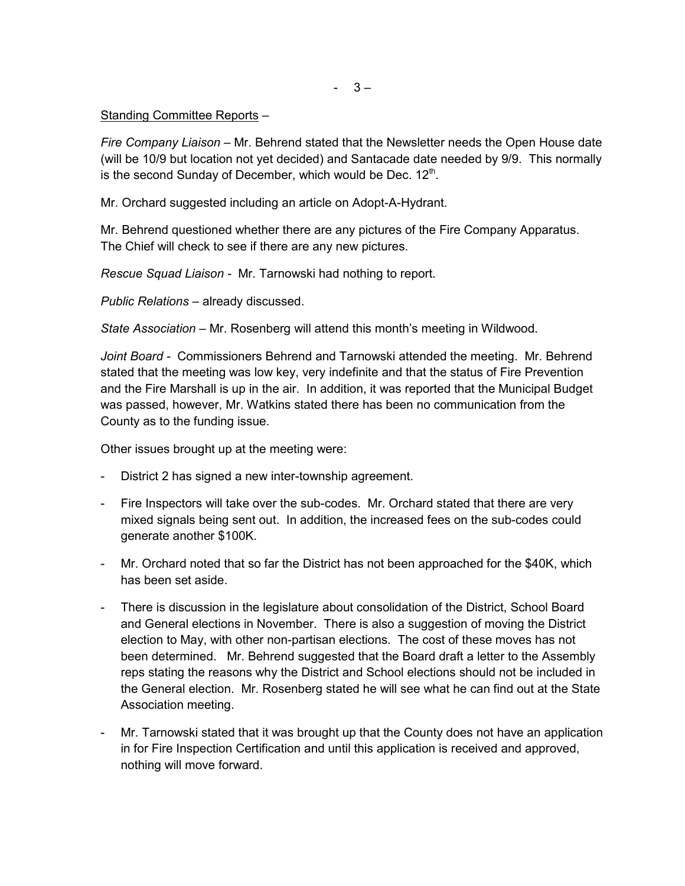### Standing Committee Reports –

*Fire Company Liaison –* Mr. Behrend stated that the Newsletter needs the Open House date (will be 10/9 but location not yet decided) and Santacade date needed by 9/9. This normally is the second Sunday of December, which would be Dec. 12 $^{\rm th}$ .

Mr. Orchard suggested including an article on Adopt-A-Hydrant.

Mr. Behrend questioned whether there are any pictures of the Fire Company Apparatus. The Chief will check to see if there are any new pictures.

*Rescue Squad Liaison -* Mr. Tarnowski had nothing to report.

*Public Relations –* already discussed.

*State Association –* Mr. Rosenberg will attend this month's meeting in Wildwood.

*Joint Board -* Commissioners Behrend and Tarnowski attended the meeting. Mr. Behrend stated that the meeting was low key, very indefinite and that the status of Fire Prevention and the Fire Marshall is up in the air. In addition, it was reported that the Municipal Budget was passed, however, Mr. Watkins stated there has been no communication from the County as to the funding issue.

Other issues brought up at the meeting were:

- District 2 has signed a new inter-township agreement.
- Fire Inspectors will take over the sub-codes. Mr. Orchard stated that there are very mixed signals being sent out. In addition, the increased fees on the sub-codes could generate another \$100K.
- Mr. Orchard noted that so far the District has not been approached for the \$40K, which has been set aside.
- There is discussion in the legislature about consolidation of the District, School Board and General elections in November. There is also a suggestion of moving the District election to May, with other non-partisan elections. The cost of these moves has not been determined. Mr. Behrend suggested that the Board draft a letter to the Assembly reps stating the reasons why the District and School elections should not be included in the General election. Mr. Rosenberg stated he will see what he can find out at the State Association meeting.
- Mr. Tarnowski stated that it was brought up that the County does not have an application in for Fire Inspection Certification and until this application is received and approved, nothing will move forward.